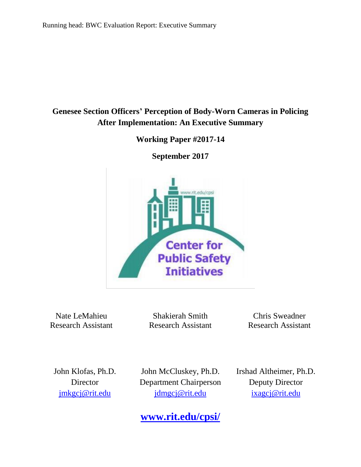# **Genesee Section Officers' Perception of Body-Worn Cameras in Policing After Implementation: An Executive Summary**

**Working Paper #2017-14**

**September 2017**



Nate LeMahieu Research Assistant

Shakierah Smith Research Assistant

Chris Sweadner Research Assistant

Irshad Altheimer, Ph.D. Deputy Director

John Klofas, Ph.D. **Director** [jmkgcj@rit.edu](mailto:jmkgcj@rit.edu)

John McCluskey, Ph.D. Department Chairperson jdmgcj@rit.edu

[ixagcj@rit.edu](mailto:ixagcj@rit.edu)

**[www.rit.edu/cpsi/](http://www.rit.edu/cpsi/)**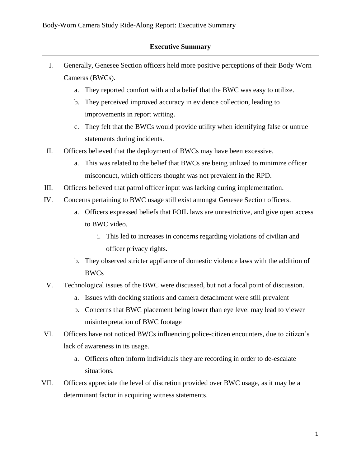# **Executive Summary**

- I. Generally, Genesee Section officers held more positive perceptions of their Body Worn Cameras (BWCs).
	- a. They reported comfort with and a belief that the BWC was easy to utilize.
	- b. They perceived improved accuracy in evidence collection, leading to improvements in report writing.
	- c. They felt that the BWCs would provide utility when identifying false or untrue statements during incidents.
- II. Officers believed that the deployment of BWCs may have been excessive.
	- a. This was related to the belief that BWCs are being utilized to minimize officer misconduct, which officers thought was not prevalent in the RPD.
- III. Officers believed that patrol officer input was lacking during implementation.
- IV. Concerns pertaining to BWC usage still exist amongst Genesee Section officers.
	- a. Officers expressed beliefs that FOIL laws are unrestrictive, and give open access to BWC video.
		- i. This led to increases in concerns regarding violations of civilian and officer privacy rights.
	- b. They observed stricter appliance of domestic violence laws with the addition of BWCs
- V. Technological issues of the BWC were discussed, but not a focal point of discussion.
	- a. Issues with docking stations and camera detachment were still prevalent
	- b. Concerns that BWC placement being lower than eye level may lead to viewer misinterpretation of BWC footage
- VI. Officers have not noticed BWCs influencing police-citizen encounters, due to citizen's lack of awareness in its usage.
	- a. Officers often inform individuals they are recording in order to de-escalate situations.
- VII. Officers appreciate the level of discretion provided over BWC usage, as it may be a determinant factor in acquiring witness statements.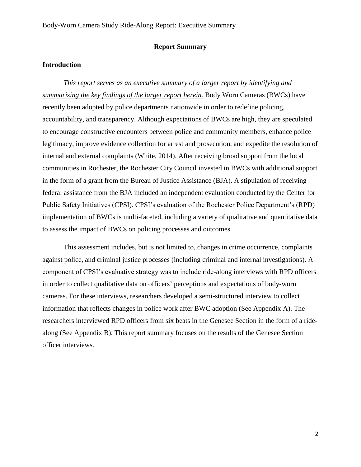## **Report Summary**

## **Introduction**

*This report serves as an executive summary of a larger report by identifying and summarizing the key findings of the larger report herein.* Body Worn Cameras (BWCs) have recently been adopted by police departments nationwide in order to redefine policing, accountability, and transparency. Although expectations of BWCs are high, they are speculated to encourage constructive encounters between police and community members, enhance police legitimacy, improve evidence collection for arrest and prosecution, and expedite the resolution of internal and external complaints (White, 2014). After receiving broad support from the local communities in Rochester, the Rochester City Council invested in BWCs with additional support in the form of a grant from the Bureau of Justice Assistance (BJA). A stipulation of receiving federal assistance from the BJA included an independent evaluation conducted by the Center for Public Safety Initiatives (CPSI). CPSI's evaluation of the Rochester Police Department's (RPD) implementation of BWCs is multi-faceted, including a variety of qualitative and quantitative data to assess the impact of BWCs on policing processes and outcomes.

This assessment includes, but is not limited to, changes in crime occurrence, complaints against police, and criminal justice processes (including criminal and internal investigations). A component of CPSI's evaluative strategy was to include ride-along interviews with RPD officers in order to collect qualitative data on officers' perceptions and expectations of body-worn cameras. For these interviews, researchers developed a semi-structured interview to collect information that reflects changes in police work after BWC adoption (See Appendix A). The researchers interviewed RPD officers from six beats in the Genesee Section in the form of a ridealong (See Appendix B). This report summary focuses on the results of the Genesee Section officer interviews.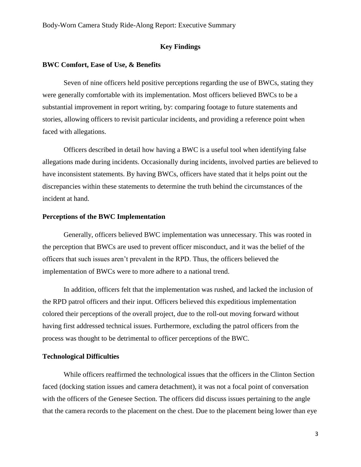## **Key Findings**

## **BWC Comfort, Ease of Use, & Benefits**

Seven of nine officers held positive perceptions regarding the use of BWCs, stating they were generally comfortable with its implementation. Most officers believed BWCs to be a substantial improvement in report writing, by: comparing footage to future statements and stories, allowing officers to revisit particular incidents, and providing a reference point when faced with allegations.

Officers described in detail how having a BWC is a useful tool when identifying false allegations made during incidents. Occasionally during incidents, involved parties are believed to have inconsistent statements. By having BWCs, officers have stated that it helps point out the discrepancies within these statements to determine the truth behind the circumstances of the incident at hand.

#### **Perceptions of the BWC Implementation**

Generally, officers believed BWC implementation was unnecessary. This was rooted in the perception that BWCs are used to prevent officer misconduct, and it was the belief of the officers that such issues aren't prevalent in the RPD. Thus, the officers believed the implementation of BWCs were to more adhere to a national trend.

In addition, officers felt that the implementation was rushed, and lacked the inclusion of the RPD patrol officers and their input. Officers believed this expeditious implementation colored their perceptions of the overall project, due to the roll-out moving forward without having first addressed technical issues. Furthermore, excluding the patrol officers from the process was thought to be detrimental to officer perceptions of the BWC.

### **Technological Difficulties**

While officers reaffirmed the technological issues that the officers in the Clinton Section faced (docking station issues and camera detachment), it was not a focal point of conversation with the officers of the Genesee Section. The officers did discuss issues pertaining to the angle that the camera records to the placement on the chest. Due to the placement being lower than eye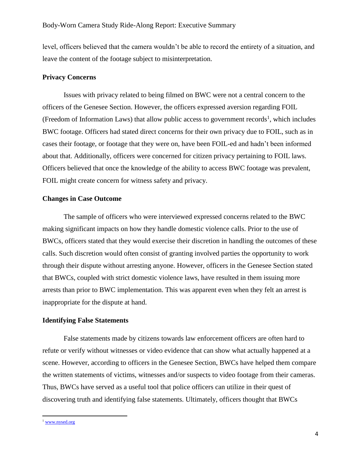level, officers believed that the camera wouldn't be able to record the entirety of a situation, and leave the content of the footage subject to misinterpretation.

#### **Privacy Concerns**

Issues with privacy related to being filmed on BWC were not a central concern to the officers of the Genesee Section. However, the officers expressed aversion regarding FOIL (Freedom of Information Laws) that allow public access to government records<sup>1</sup>, which includes BWC footage. Officers had stated direct concerns for their own privacy due to FOIL, such as in cases their footage, or footage that they were on, have been FOIL-ed and hadn't been informed about that. Additionally, officers were concerned for citizen privacy pertaining to FOIL laws. Officers believed that once the knowledge of the ability to access BWC footage was prevalent, FOIL might create concern for witness safety and privacy.

## **Changes in Case Outcome**

The sample of officers who were interviewed expressed concerns related to the BWC making significant impacts on how they handle domestic violence calls. Prior to the use of BWCs, officers stated that they would exercise their discretion in handling the outcomes of these calls. Such discretion would often consist of granting involved parties the opportunity to work through their dispute without arresting anyone. However, officers in the Genesee Section stated that BWCs, coupled with strict domestic violence laws, have resulted in them issuing more arrests than prior to BWC implementation. This was apparent even when they felt an arrest is inappropriate for the dispute at hand.

#### **Identifying False Statements**

False statements made by citizens towards law enforcement officers are often hard to refute or verify without witnesses or video evidence that can show what actually happened at a scene. However, according to officers in the Genesee Section, BWCs have helped them compare the written statements of victims, witnesses and/or suspects to video footage from their cameras. Thus, BWCs have served as a useful tool that police officers can utilize in their quest of discovering truth and identifying false statements. Ultimately, officers thought that BWCs

 $\overline{a}$ 

<sup>&</sup>lt;sup>1</sup> [www.nysed.org](http://www.nysed.org/)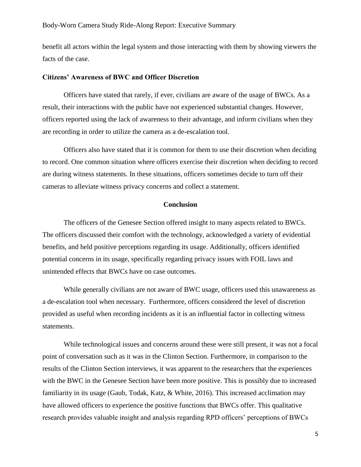### Body-Worn Camera Study Ride-Along Report: Executive Summary

benefit all actors within the legal system and those interacting with them by showing viewers the facts of the case.

#### **Citizens' Awareness of BWC and Officer Discretion**

Officers have stated that rarely, if ever, civilians are aware of the usage of BWCs. As a result, their interactions with the public have not experienced substantial changes. However, officers reported using the lack of awareness to their advantage, and inform civilians when they are recording in order to utilize the camera as a de-escalation tool.

Officers also have stated that it is common for them to use their discretion when deciding to record. One common situation where officers exercise their discretion when deciding to record are during witness statements. In these situations, officers sometimes decide to turn off their cameras to alleviate witness privacy concerns and collect a statement.

#### **Conclusion**

The officers of the Genesee Section offered insight to many aspects related to BWCs. The officers discussed their comfort with the technology, acknowledged a variety of evidential benefits, and held positive perceptions regarding its usage. Additionally, officers identified potential concerns in its usage, specifically regarding privacy issues with FOIL laws and unintended effects that BWCs have on case outcomes.

While generally civilians are not aware of BWC usage, officers used this unawareness as a de-escalation tool when necessary. Furthermore, officers considered the level of discretion provided as useful when recording incidents as it is an influential factor in collecting witness statements.

While technological issues and concerns around these were still present, it was not a focal point of conversation such as it was in the Clinton Section. Furthermore, in comparison to the results of the Clinton Section interviews, it was apparent to the researchers that the experiences with the BWC in the Genesee Section have been more positive. This is possibly due to increased familiarity in its usage (Gaub, Todak, Katz, & White, 2016). This increased acclimation may have allowed officers to experience the positive functions that BWCs offer. This qualitative research provides valuable insight and analysis regarding RPD officers' perceptions of BWCs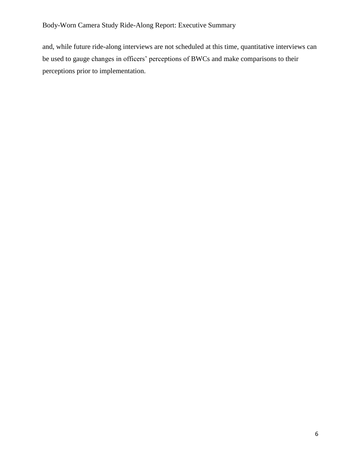# Body-Worn Camera Study Ride-Along Report: Executive Summary

and, while future ride-along interviews are not scheduled at this time, quantitative interviews can be used to gauge changes in officers' perceptions of BWCs and make comparisons to their perceptions prior to implementation.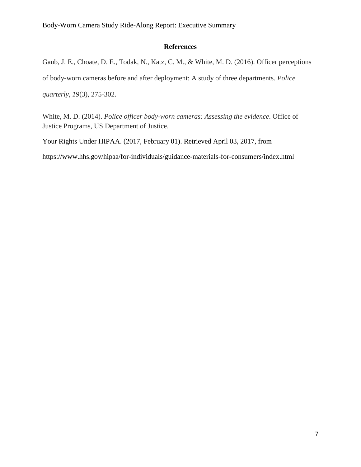Body-Worn Camera Study Ride-Along Report: Executive Summary

# **References**

Gaub, J. E., Choate, D. E., Todak, N., Katz, C. M., & White, M. D. (2016). Officer perceptions of body-worn cameras before and after deployment: A study of three departments. *Police quarterly*, *19*(3), 275-302.

White, M. D. (2014). *Police officer body-worn cameras: Assessing the evidence*. Office of Justice Programs, US Department of Justice.

Your Rights Under HIPAA. (2017, February 01). Retrieved April 03, 2017, from https://www.hhs.gov/hipaa/for-individuals/guidance-materials-for-consumers/index.html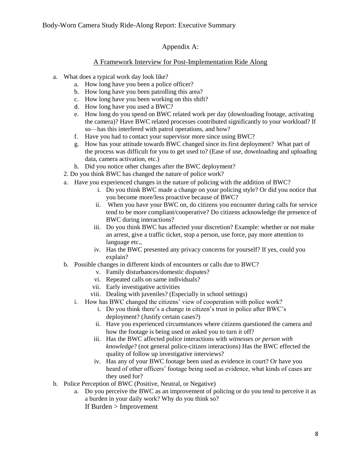# Appendix A:

## A Framework Interview for Post-Implementation Ride Along

- a. What does a typical work day look like?
	- a. How long have you been a police officer?
	- b. How long have you been patrolling this area?
	- c. How long have you been working on this shift?
	- d. How long have you used a BWC?
	- e. How long do you spend on BWC related work per day (downloading footage, activating the camera)? Have BWC related processes contributed significantly to your workload? If so—has this interfered with patrol operations, and how?
	- f. Have you had to contact your supervisor more since using BWC?
	- g. How has your attitude towards BWC changed since its first deployment? What part of the process was difficult for you to get used to? (Ease of use, downloading and uploading data, camera activation, etc.)
	- h. Did you notice other changes after the BWC deployment?
	- 2. Do you think BWC has changed the nature of police work?
	- a. Have you experienced changes in the nature of policing with the addition of BWC?
		- i. Do you think BWC made a change on your policing style? Or did you notice that you become more/less proactive because of BWC?
		- ii. When you have your BWC on, do citizens you encounter during calls for service tend to be more compliant/cooperative? Do citizens acknowledge the presence of BWC during interactions?
		- iii. Do you think BWC has affected your discretion? Example: whether or not make an arrest, give a traffic ticket, stop a person, use force, pay more attention to language etc.,
		- iv. Has the BWC presented any privacy concerns for yourself? If yes, could you explain?
	- b. Possible changes in different kinds of encounters or calls due to BWC?
		- v. Family disturbances/domestic disputes?
		- vi. Repeated calls on same individuals?
		- vii. Early investigative activities
		- viii. Dealing with juveniles? (Especially in school settings)
		- i. How has BWC changed the citizens' view of cooperation with police work?
			- i. Do you think there's a change in citizen's trust in police after BWC's deployment? (Justify certain cases?)
			- ii. Have you experienced circumstances where citizens questioned the camera and how the footage is being used or asked you to turn it off?
			- iii. Has the BWC affected police interactions with *witnesses or person with knowledge*? (not general police-citizen interactions) Has the BWC effected the quality of follow up investigative interviews?
			- iv. Has any of your BWC footage been used as evidence in court? Or have you heard of other officers' footage being used as evidence, what kinds of cases are they used for?
- b. Police Perception of BWC (Positive, Neutral, or Negative)
	- a. Do you perceive the BWC as an improvement of policing or do you tend to perceive it as a burden in your daily work? Why do you think so? If Burden > Improvement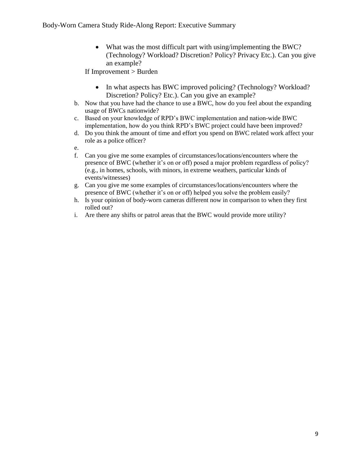• What was the most difficult part with using/implementing the BWC? (Technology? Workload? Discretion? Policy? Privacy Etc.). Can you give an example?

If Improvement > Burden

- In what aspects has BWC improved policing? (Technology? Workload? Discretion? Policy? Etc.). Can you give an example?
- b. Now that you have had the chance to use a BWC, how do you feel about the expanding usage of BWCs nationwide?
- c. Based on your knowledge of RPD's BWC implementation and nation-wide BWC implementation, how do you think RPD's BWC project could have been improved?
- d. Do you think the amount of time and effort you spend on BWC related work affect your role as a police officer?

e.

- f. Can you give me some examples of circumstances/locations/encounters where the presence of BWC (whether it's on or off) posed a major problem regardless of policy? (e.g., in homes, schools, with minors, in extreme weathers, particular kinds of events/witnesses)
- g. Can you give me some examples of circumstances/locations/encounters where the presence of BWC (whether it's on or off) helped you solve the problem easily?
- h. Is your opinion of body-worn cameras different now in comparison to when they first rolled out?
- i. Are there any shifts or patrol areas that the BWC would provide more utility?